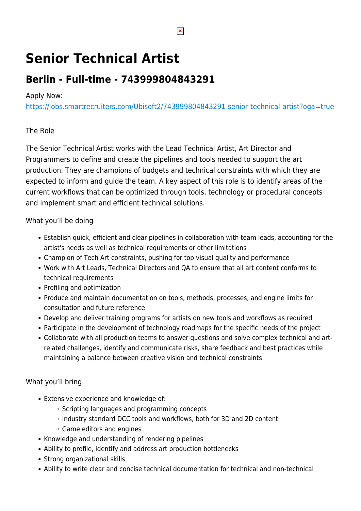# **Senior Technical Artist**

# **Berlin - Full-time - 743999804843291**

## Apply Now:

<https://jobs.smartrecruiters.com/Ubisoft2/743999804843291-senior-technical-artist?oga=true>

# The Role

The Senior Technical Artist works with the Lead Technical Artist, Art Director and Programmers to define and create the pipelines and tools needed to support the art production. They are champions of budgets and technical constraints with which they are expected to inform and guide the team. A key aspect of this role is to identify areas of the current workflows that can be optimized through tools, technology or procedural concepts and implement smart and efficient technical solutions.

# What you'll be doing

- Establish quick, efficient and clear pipelines in collaboration with team leads, accounting for the artist's needs as well as technical requirements or other limitations
- Champion of Tech Art constraints, pushing for top visual quality and performance
- Work with Art Leads, Technical Directors and QA to ensure that all art content conforms to technical requirements
- Profiling and optimization
- Produce and maintain documentation on tools, methods, processes, and engine limits for consultation and future reference
- Develop and deliver training programs for artists on new tools and workflows as required
- Participate in the development of technology roadmaps for the specific needs of the project
- Collaborate with all production teams to answer questions and solve complex technical and artrelated challenges, identify and communicate risks, share feedback and best practices while maintaining a balance between creative vision and technical constraints

## What you'll bring

- Extensive experience and knowledge of:
	- $\circ$  Scripting languages and programming concepts
	- o Industry standard DCC tools and workflows, both for 3D and 2D content
	- Game editors and engines
- Knowledge and understanding of rendering pipelines
- Ability to profile, identify and address art production bottlenecks
- Strong organizational skills
- Ability to write clear and concise technical documentation for technical and non-technical

 $\pmb{\times}$